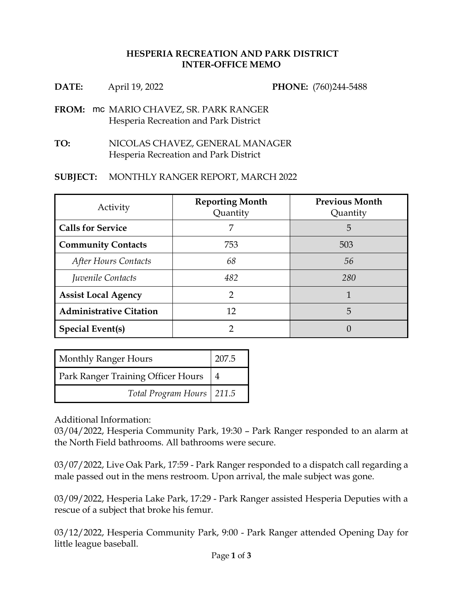## **HESPERIA RECREATION AND PARK DISTRICT INTER-OFFICE MEMO**

| DATE: | April 19, 2022 |
|-------|----------------|
|-------|----------------|

**PHONE:**  $(760)244-5488$ 

- **FROM: mc MARIO CHAVEZ, SR. PARK RANGER** Hesperia Recreation and Park District
- **TO:** NICOLAS CHAVEZ, GENERAL MANAGER Hesperia Recreation and Park District

## **SUBJECT:** MONTHLY RANGER REPORT, MARCH 2022

| Activity                       | <b>Reporting Month</b><br>Quantity | <b>Previous Month</b><br>Quantity |
|--------------------------------|------------------------------------|-----------------------------------|
| <b>Calls for Service</b>       |                                    | 5                                 |
| <b>Community Contacts</b>      | 753                                | 503                               |
| After Hours Contacts           | 68                                 | 56                                |
| Juvenile Contacts              | 482                                | 280                               |
| <b>Assist Local Agency</b>     | 2                                  |                                   |
| <b>Administrative Citation</b> | 12                                 | 5                                 |
| <b>Special Event(s)</b>        |                                    |                                   |

| <b>Monthly Ranger Hours</b>               | 207.5          |
|-------------------------------------------|----------------|
| <b>Park Ranger Training Officer Hours</b> | $\overline{4}$ |
| Total Program Hours   211.5               |                |

Additional Information:

03/04/2022, Hesperia Community Park, 19:30 – Park Ranger responded to an alarm at the North Field bathrooms. All bathrooms were secure.

03/07/2022, Live Oak Park, 17:59 - Park Ranger responded to a dispatch call regarding a male passed out in the mens restroom. Upon arrival, the male subject was gone.

03/09/2022, Hesperia Lake Park, 17:29 - Park Ranger assisted Hesperia Deputies with a rescue of a subject that broke his femur.

03/12/2022, Hesperia Community Park, 9:00 - Park Ranger attended Opening Day for little league baseball.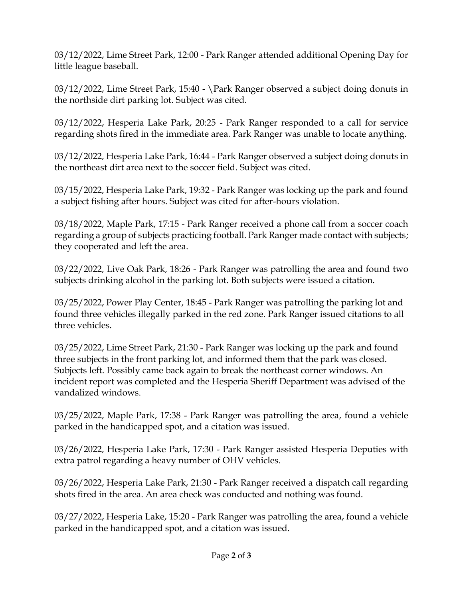03/12/2022, Lime Street Park, 12:00 - Park Ranger attended additional Opening Day for little league baseball.

03/12/2022, Lime Street Park, 15:40 - \Park Ranger observed a subject doing donuts in the northside dirt parking lot. Subject was cited.

03/12/2022, Hesperia Lake Park, 20:25 - Park Ranger responded to a call for service regarding shots fired in the immediate area. Park Ranger was unable to locate anything.

03/12/2022, Hesperia Lake Park, 16:44 - Park Ranger observed a subject doing donuts in the northeast dirt area next to the soccer field. Subject was cited.

03/15/2022, Hesperia Lake Park, 19:32 - Park Ranger was locking up the park and found a subject fishing after hours. Subject was cited for after-hours violation.

03/18/2022, Maple Park, 17:15 - Park Ranger received a phone call from a soccer coach regarding a group of subjects practicing football. Park Ranger made contact with subjects; they cooperated and left the area.

03/22/2022, Live Oak Park, 18:26 - Park Ranger was patrolling the area and found two subjects drinking alcohol in the parking lot. Both subjects were issued a citation.

03/25/2022, Power Play Center, 18:45 - Park Ranger was patrolling the parking lot and found three vehicles illegally parked in the red zone. Park Ranger issued citations to all three vehicles.

03/25/2022, Lime Street Park, 21:30 - Park Ranger was locking up the park and found three subjects in the front parking lot, and informed them that the park was closed. Subjects left. Possibly came back again to break the northeast corner windows. An incident report was completed and the Hesperia Sheriff Department was advised of the vandalized windows.

03/25/2022, Maple Park, 17:38 - Park Ranger was patrolling the area, found a vehicle parked in the handicapped spot, and a citation was issued.

03/26/2022, Hesperia Lake Park, 17:30 - Park Ranger assisted Hesperia Deputies with extra patrol regarding a heavy number of OHV vehicles.

03/26/2022, Hesperia Lake Park, 21:30 - Park Ranger received a dispatch call regarding shots fired in the area. An area check was conducted and nothing was found.

03/27/2022, Hesperia Lake, 15:20 - Park Ranger was patrolling the area, found a vehicle parked in the handicapped spot, and a citation was issued.